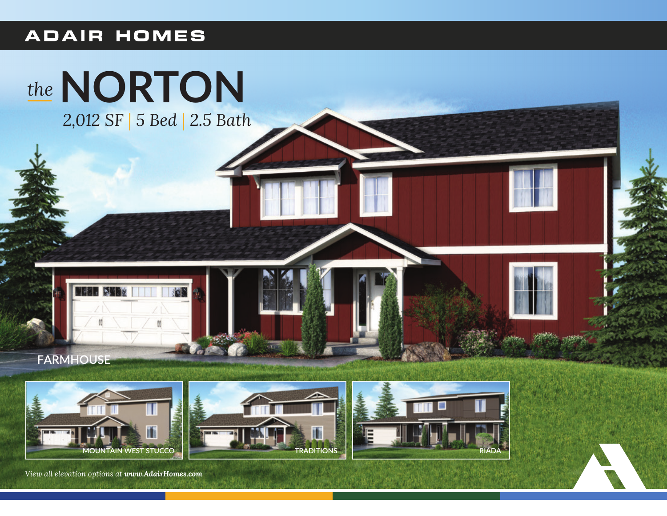## **ADAIR HOMES**











*View all elevation options at www.AdairHomes.com*